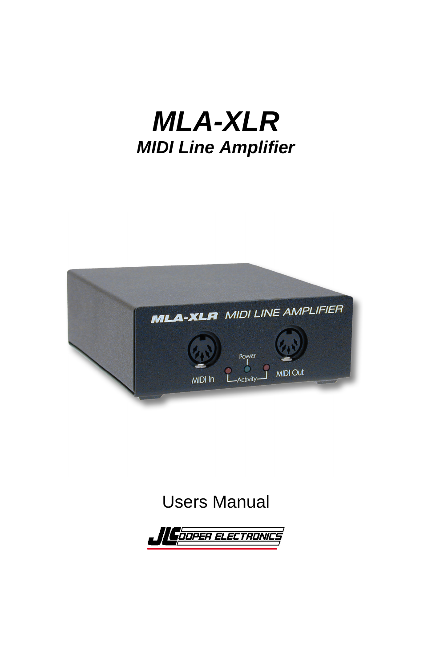# *MLA-XLR MIDI Line Amplifier*



### Users Manual

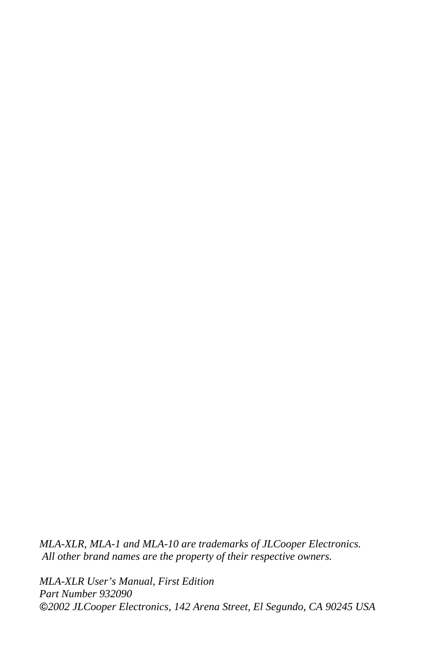*MLA-XLR, MLA-1 and MLA-10 are trademarks of JLCooper Electronics. All other brand names are the property of their respective owners.*

*MLA-XLR User's Manual, First Edition Part Number 932090 2002 JLCooper Electronics, 142 Arena Street, El Segundo, CA 90245 USA*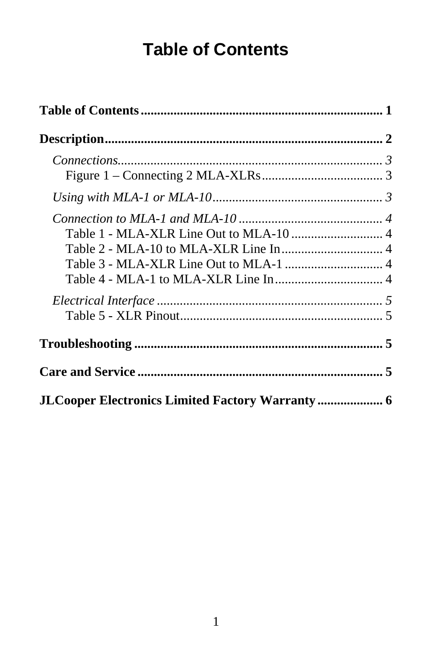## **Table of Contents**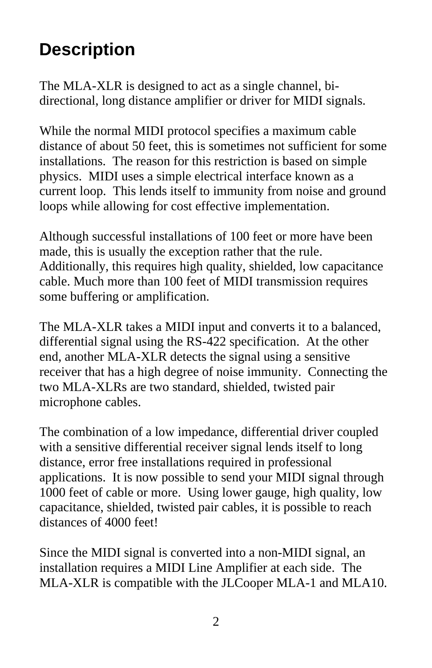### **Description**

The MLA-XLR is designed to act as a single channel, bidirectional, long distance amplifier or driver for MIDI signals.

While the normal MIDI protocol specifies a maximum cable distance of about 50 feet, this is sometimes not sufficient for some installations. The reason for this restriction is based on simple physics. MIDI uses a simple electrical interface known as a current loop. This lends itself to immunity from noise and ground loops while allowing for cost effective implementation.

Although successful installations of 100 feet or more have been made, this is usually the exception rather that the rule. Additionally, this requires high quality, shielded, low capacitance cable. Much more than 100 feet of MIDI transmission requires some buffering or amplification.

The MLA-XLR takes a MIDI input and converts it to a balanced, differential signal using the RS-422 specification. At the other end, another MLA-XLR detects the signal using a sensitive receiver that has a high degree of noise immunity. Connecting the two MLA-XLRs are two standard, shielded, twisted pair microphone cables.

The combination of a low impedance, differential driver coupled with a sensitive differential receiver signal lends itself to long distance, error free installations required in professional applications. It is now possible to send your MIDI signal through 1000 feet of cable or more. Using lower gauge, high quality, low capacitance, shielded, twisted pair cables, it is possible to reach distances of 4000 feet!

Since the MIDI signal is converted into a non-MIDI signal, an installation requires a MIDI Line Amplifier at each side. The MLA-XLR is compatible with the JLCooper MLA-1 and MLA10.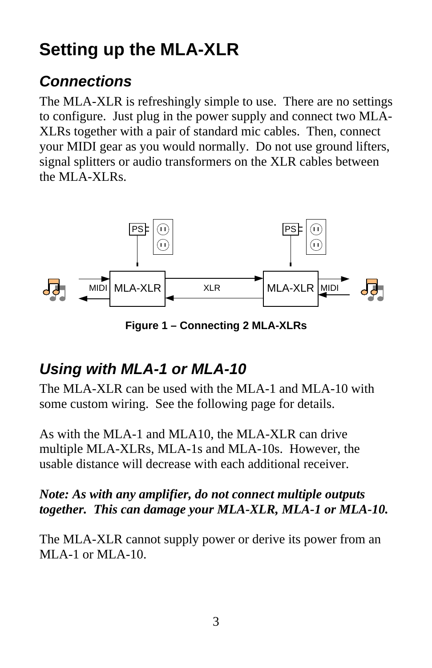## **Setting up the MLA-XLR**

### *Connections*

The MLA-XLR is refreshingly simple to use. There are no settings to configure. Just plug in the power supply and connect two MLA-XLRs together with a pair of standard mic cables. Then, connect your MIDI gear as you would normally. Do not use ground lifters, signal splitters or audio transformers on the XLR cables between the MLA-XLRs.



**Figure 1 – Connecting 2 MLA-XLRs**

### *Using with MLA-1 or MLA-10*

The MLA-XLR can be used with the MLA-1 and MLA-10 with some custom wiring. See the following page for details.

As with the MLA-1 and MLA10, the MLA-XLR can drive multiple MLA-XLRs, MLA-1s and MLA-10s. However, the usable distance will decrease with each additional receiver.

#### *Note: As with any amplifier, do not connect multiple outputs together. This can damage your MLA-XLR, MLA-1 or MLA-10.*

The MLA-XLR cannot supply power or derive its power from an MLA-1 or MLA-10.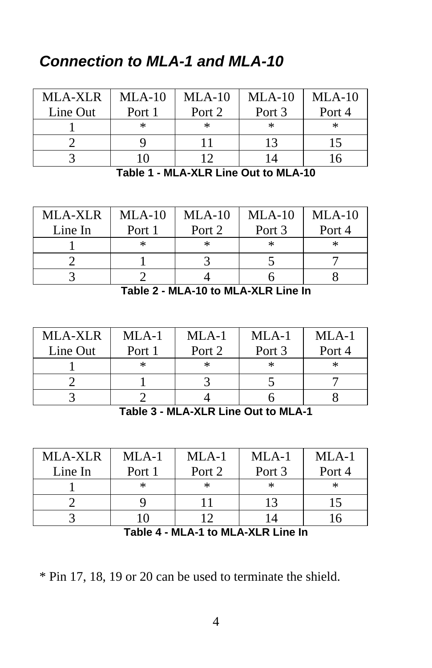### *Connection to MLA-1 and MLA-10*

| MLA-XLR  | $MLA-10$ | $MLA-10$ | $MLA-10$ | $MLA-10$ |
|----------|----------|----------|----------|----------|
| Line Out | Port 1   | Port 2   | Port 3   | Port 4   |
|          | ∗        |          | $\ast$   | $\ast$   |
|          |          |          |          |          |
|          |          |          |          |          |

**Table 1 - MLA-XLR Line Out to MLA-10**

| <b>MLA-XLR</b> | $MLA-10$ | $MLA-10$ | $MLA-10$ | $MLA-10$ |
|----------------|----------|----------|----------|----------|
| Line In        | Port 1   | Port 2   | Port 3   | Port 4   |
|                | $\ast$   | ∗        | ж        | ж.       |
|                |          |          |          |          |
|                |          |          |          |          |

**Table 2 - MLA-10 to MLA-XLR Line In**

| <b>MLA-XLR</b> | $MLA-1$ | $MLA-1$ | $MLA-1$ | $MLA-1$ |
|----------------|---------|---------|---------|---------|
| Line Out       | Port 1  | Port 2  | Port 3  | Port 4  |
|                | ∗       | ∗       | ∗       |         |
|                |         |         |         |         |
|                |         |         |         |         |

**Table 3 - MLA-XLR Line Out to MLA-1**

| MLA-XLR | $MLA-1$ | $MI.A-1$ | $MLA-1$ | $MLA-1$ |
|---------|---------|----------|---------|---------|
| Line In | Port 1  | Port 2   | Port 3  | Port 4  |
|         | *       |          |         |         |
|         |         |          |         |         |
|         |         |          |         |         |

**Table 4 - MLA-1 to MLA-XLR Line In**

\* Pin 17, 18, 19 or 20 can be used to terminate the shield.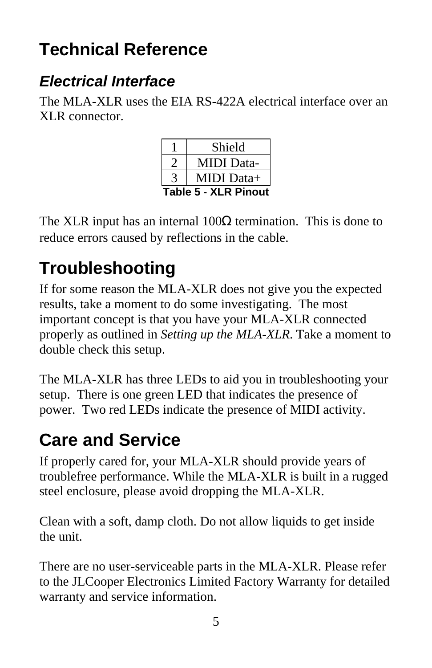## **Technical Reference**

### *Electrical Interface*

The MLA-XLR uses the EIA RS-422A electrical interface over an XLR connector.

|                             | Shield     |
|-----------------------------|------------|
|                             | MIDI Data- |
|                             | MIDI Data+ |
| <b>Table 5 - XLR Pinout</b> |            |

The XLR input has an internal 100 termination. This is done to reduce errors caused by reflections in the cable.

## **Troubleshooting**

If for some reason the MLA-XLR does not give you the expected results, take a moment to do some investigating. The most important concept is that you have your MLA-XLR connected properly as outlined in *Setting up the MLA-XLR*. Take a moment to double check this setup.

The MLA-XLR has three LEDs to aid you in troubleshooting your setup. There is one green LED that indicates the presence of power. Two red LEDs indicate the presence of MIDI activity.

## **Care and Service**

If properly cared for, your MLA-XLR should provide years of troublefree performance. While the MLA-XLR is built in a rugged steel enclosure, please avoid dropping the MLA-XLR.

Clean with a soft, damp cloth. Do not allow liquids to get inside the unit.

There are no user-serviceable parts in the MLA-XLR. Please refer to the JLCooper Electronics Limited Factory Warranty for detailed warranty and service information.